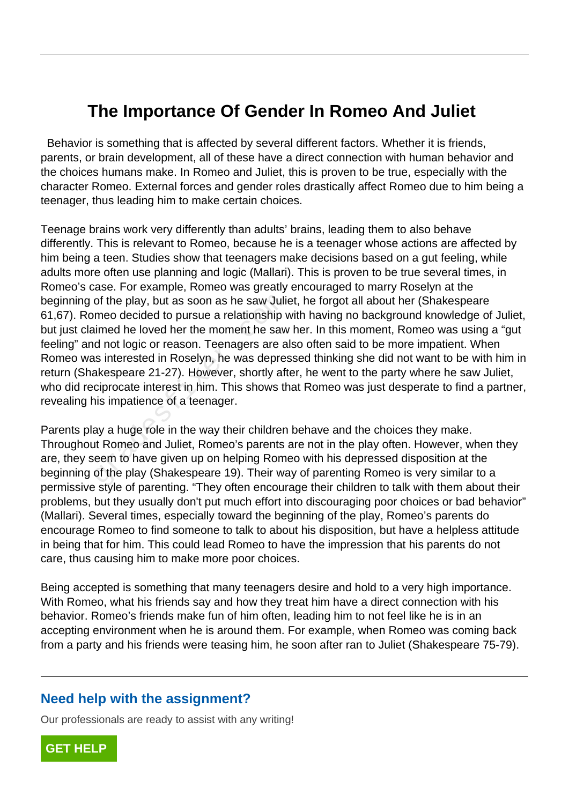## **The Importance Of Gender In Romeo And Juliet**

 Behavior is something that is affected by several different factors. Whether it is friends, parents, or brain development, all of these have a direct connection with human behavior and the choices humans make. In Romeo and Juliet, this is proven to be true, especially with the character Romeo. External forces and gender roles drastically affect Romeo due to him being a teenager, thus leading him to make certain choices.

Teenage brains work very differently than adults' brains, leading them to also behave differently. This is relevant to Romeo, because he is a teenager whose actions are affected by him being a teen. Studies show that teenagers make decisions based on a gut feeling, while adults more often use planning and logic (Mallari). This is proven to be true several times, in Romeo's case. For example, Romeo was greatly encouraged to marry Roselyn at the beginning of the play, but as soon as he saw Juliet, he forgot all about her (Shakespeare 61,67). Romeo decided to pursue a relationship with having no background knowledge of Juliet, but just claimed he loved her the moment he saw her. In this moment, Romeo was using a "gut feeling" and not logic or reason. Teenagers are also often said to be more impatient. When Romeo was interested in Roselyn, he was depressed thinking she did not want to be with him in return (Shakespeare 21-27). However, shortly after, he went to the party where he saw Juliet, who did reciprocate interest in him. This shows that Romeo was just desperate to find a partner, revealing his impatience of a teenager. of the play, but as soon as he saw Julian<br>meo decided to pursue a relationship valumed he loved her the moment he saw<br>d not logic or reason. Teenagers are a<br>as interested in Roselyn, he was depres<br>akespeare 21-27). However

Parents play a huge role in the way their children behave and the choices they make. Throughout Romeo and Juliet, Romeo's parents are not in the play often. However, when they are, they seem to have given up on helping Romeo with his depressed disposition at the beginning of the play (Shakespeare 19). Their way of parenting Romeo is very similar to a permissive style of parenting. "They often encourage their children to talk with them about their problems, but they usually don't put much effort into discouraging poor choices or bad behavior" (Mallari). Several times, especially toward the beginning of the play, Romeo's parents do encourage Romeo to find someone to talk to about his disposition, but have a helpless attitude in being that for him. This could lead Romeo to have the impression that his parents do not care, thus causing him to make more poor choices.

Being accepted is something that many teenagers desire and hold to a very high importance. With Romeo, what his friends say and how they treat him have a direct connection with his behavior. Romeo's friends make fun of him often, leading him to not feel like he is in an accepting environment when he is around them. For example, when Romeo was coming back from a party and his friends were teasing him, he soon after ran to Juliet (Shakespeare 75-79).

## **Need help with the assignment?**

Our professionals are ready to assist with any writing!